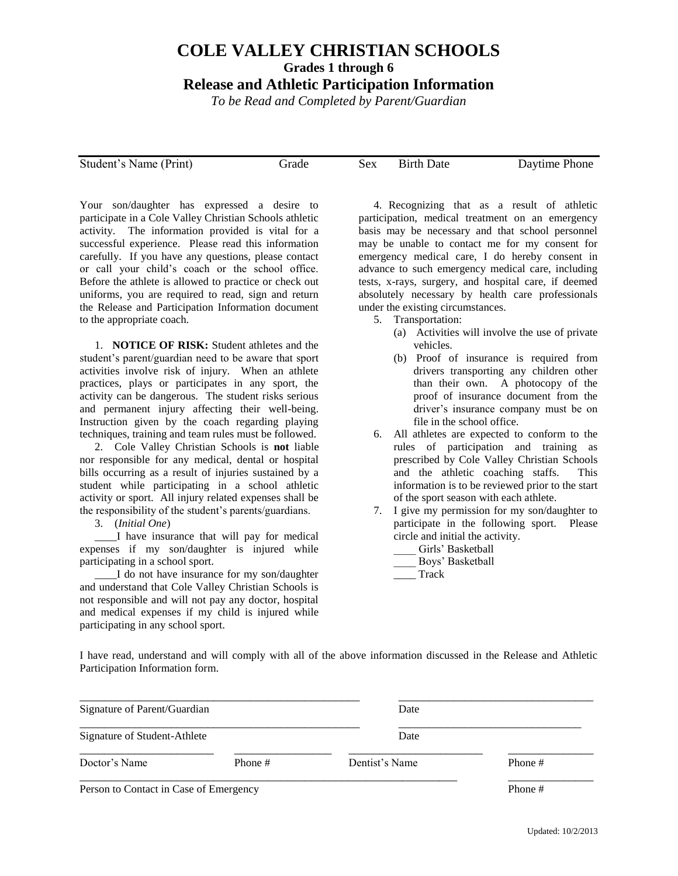## **COLE VALLEY CHRISTIAN SCHOOLS Grades 1 through 6**

## **Release and Athletic Participation Information**

*To be Read and Completed by Parent/Guardian*

Student's Name (Print) Grade Sex Birth Date Daytime Phone

Your son/daughter has expressed a desire to participate in a Cole Valley Christian Schools athletic activity. The information provided is vital for a successful experience. Please read this information carefully. If you have any questions, please contact or call your child's coach or the school office. Before the athlete is allowed to practice or check out uniforms, you are required to read, sign and return the Release and Participation Information document to the appropriate coach.

1. **NOTICE OF RISK:** Student athletes and the student's parent/guardian need to be aware that sport activities involve risk of injury. When an athlete practices, plays or participates in any sport, the activity can be dangerous. The student risks serious and permanent injury affecting their well-being. Instruction given by the coach regarding playing techniques, training and team rules must be followed.

2. Cole Valley Christian Schools is **not** liable nor responsible for any medical, dental or hospital bills occurring as a result of injuries sustained by a student while participating in a school athletic activity or sport. All injury related expenses shall be the responsibility of the student's parents/guardians.

3. (*Initial One*)

\_\_\_\_I have insurance that will pay for medical expenses if my son/daughter is injured while participating in a school sport.

\_\_\_\_I do not have insurance for my son/daughter and understand that Cole Valley Christian Schools is not responsible and will not pay any doctor, hospital and medical expenses if my child is injured while participating in any school sport.

4. Recognizing that as a result of athletic participation, medical treatment on an emergency basis may be necessary and that school personnel may be unable to contact me for my consent for emergency medical care, I do hereby consent in advance to such emergency medical care, including tests, x-rays, surgery, and hospital care, if deemed absolutely necessary by health care professionals under the existing circumstances.

- 5. Transportation:
	- (a) Activities will involve the use of private vehicles.
	- (b) Proof of insurance is required from drivers transporting any children other than their own. A photocopy of the proof of insurance document from the driver's insurance company must be on file in the school office.
- 6. All athletes are expected to conform to the rules of participation and training as prescribed by Cole Valley Christian Schools and the athletic coaching staffs. This information is to be reviewed prior to the start of the sport season with each athlete.
- 7. I give my permission for my son/daughter to participate in the following sport. Please circle and initial the activity.
	- Girls' Basketball
	- Boys' Basketball
	- \_\_\_\_ Track

I have read, understand and will comply with all of the above information discussed in the Release and Athletic Participation Information form.

| Signature of Parent/Guardian<br>Signature of Student-Athlete |         | Date           |         |
|--------------------------------------------------------------|---------|----------------|---------|
|                                                              |         | Date           |         |
| Doctor's Name                                                | Phone # | Dentist's Name | Phone # |
| Person to Contact in Case of Emergency                       | Phone # |                |         |